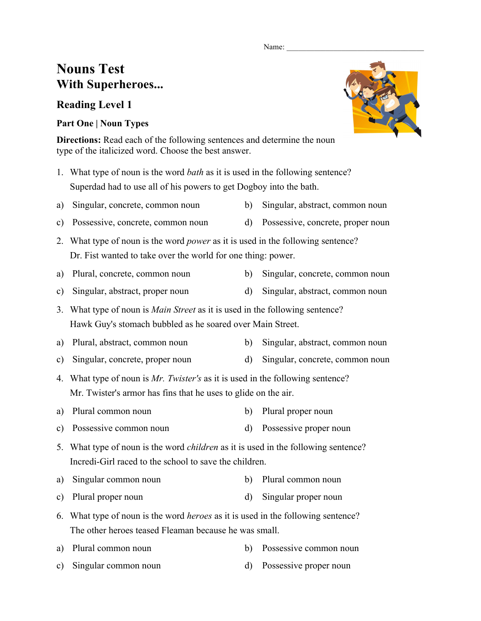#### Name:

# **Nouns Test With Superheroes...**

## **Reading Level 1**

### **Part One | Noun Types**

**Directions:** Read each of the following sentences and determine the noun type of the italicized word. Choose the best answer.

- 1. What type of noun is the word *bath* as it is used in the following sentence? Superdad had to use all of his powers to get Dogboy into the bath.
- a) Singular, concrete, common noun b) Singular, abstract, common noun
- c) Possessive, concrete, common noun d) Possessive, concrete, proper noun
- 2. What type of noun is the word *power* as it is used in the following sentence? Dr. Fist wanted to take over the world for one thing: power.
- a) Plural, concrete, common noun b) Singular, concrete, common noun
- c) Singular, abstract, proper noun d) Singular, abstract, common noun
- 3. What type of noun is *Main Street* as it is used in the following sentence? Hawk Guy's stomach bubbled as he soared over Main Street.
- a) Plural, abstract, common noun b) Singular, abstract, common noun
- c) Singular, concrete, proper noun d) Singular, concrete, common noun
- 4. What type of noun is *Mr. Twister's* as it is used in the following sentence? Mr. Twister's armor has fins that he uses to glide on the air.
- a) Plural common noun b) Plural proper noun
- c) Possessive common noun d) Possessive proper noun
- 5. What type of noun is the word *children* as it is used in the following sentence? Incredi-Girl raced to the school to save the children.
- a) Singular common noun b) Plural common noun
- c) Plural proper noun d) Singular proper noun
- 6. What type of noun is the word *heroes* as it is used in the following sentence? The other heroes teased Fleaman because he was small.
- a) Plural common noun b) Possessive common noun
- c) Singular common noun d) Possessive proper noun



- 
- -
- 
- -
-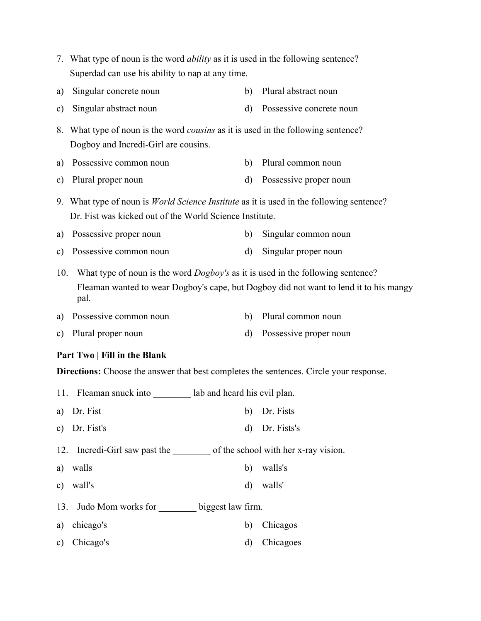- 7. What type of noun is the word *ability* as it is used in the following sentence? Superdad can use his ability to nap at any time.
- a) Singular concrete noun b) Plural abstract noun
- c) Singular abstract noun d) Possessive concrete noun
- 8. What type of noun is the word *cousins* as it is used in the following sentence? Dogboy and Incredi-Girl are cousins.
- a) Possessive common noun b) Plural common noun
- c) Plural proper noun d) Possessive proper noun
- 9. What type of noun is *World Science Institute* as it is used in the following sentence? Dr. Fist was kicked out of the World Science Institute.
- a) Possessive proper noun b) Singular common noun
- c) Possessive common noun d) Singular proper noun

10. What type of noun is the word *Dogboy's* as it is used in the following sentence? Fleaman wanted to wear Dogboy's cape, but Dogboy did not want to lend it to his mangy pal.

- a) Possessive common noun b) Plural common noun
- c) Plural proper noun d) Possessive proper noun

#### **Part Two | Fill in the Blank**

**Directions:** Choose the answer that best completes the sentences. Circle your response.

- 11. Fleaman snuck into \_\_\_\_\_\_\_\_ lab and heard his evil plan.
- a) Dr. Fist b) Dr. Fists
- c) Dr. Fist's d) Dr. Fists's
- 12. Incredi-Girl saw past the of the school with her x-ray vision.
- a) walls b) walls's
- c) wall's d) walls'
- 13. Judo Mom works for \_\_\_\_\_\_\_\_ biggest law firm.
- a) chicago's b) Chicagos
- c) Chicago's d) Chicagoes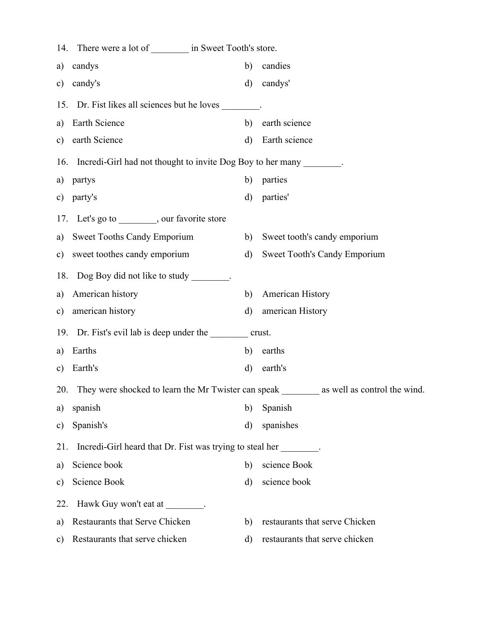|               | 14. There were a lot of _________ in Sweet Tooth's store.                                         |              |                                |  |  |  |  |
|---------------|---------------------------------------------------------------------------------------------------|--------------|--------------------------------|--|--|--|--|
| a)            | candys                                                                                            | b)           | candies                        |  |  |  |  |
| $\mathbf{c})$ | candy's                                                                                           | d)           | candys'                        |  |  |  |  |
|               | 15. Dr. Fist likes all sciences but he loves                                                      |              |                                |  |  |  |  |
| a)            | Earth Science                                                                                     | b)           | earth science                  |  |  |  |  |
|               | c) earth Science                                                                                  | $\rm d$      | Earth science                  |  |  |  |  |
|               | 16. Incredi-Girl had not thought to invite Dog Boy to her many ________.                          |              |                                |  |  |  |  |
| a)            | partys                                                                                            | b)           | parties                        |  |  |  |  |
|               | c) party's                                                                                        | d)           | parties'                       |  |  |  |  |
|               | 17. Let's go to _________, our favorite store                                                     |              |                                |  |  |  |  |
|               | a) Sweet Tooths Candy Emporium                                                                    | b)           | Sweet tooth's candy emporium   |  |  |  |  |
|               | c) sweet toothes candy emporium                                                                   | $\mathbf{d}$ | Sweet Tooth's Candy Emporium   |  |  |  |  |
|               | 18. Dog Boy did not like to study ________.                                                       |              |                                |  |  |  |  |
|               | a) American history                                                                               | b)           | American History               |  |  |  |  |
| $\mathbf{c})$ | american history                                                                                  | d)           | american History               |  |  |  |  |
|               | 19. Dr. Fist's evil lab is deep under the crust.                                                  |              |                                |  |  |  |  |
| a)            | Earths                                                                                            | b)           | earths                         |  |  |  |  |
| $\mathbf{c})$ | Earth's                                                                                           | d)           | earth's                        |  |  |  |  |
|               | 20. They were shocked to learn the Mr Twister can speak _________<br>as well as control the wind. |              |                                |  |  |  |  |
| a)            | spanish                                                                                           | b)           | Spanish                        |  |  |  |  |
| $\mathbf{c})$ | Spanish's                                                                                         | d)           | spanishes                      |  |  |  |  |
| 21.           | Incredi-Girl heard that Dr. Fist was trying to steal her                                          |              |                                |  |  |  |  |
| a)            | Science book                                                                                      | b)           | science Book                   |  |  |  |  |
| c)            | Science Book                                                                                      | $\rm d$      | science book                   |  |  |  |  |
| 22.           | Hawk Guy won't eat at ________.                                                                   |              |                                |  |  |  |  |
| a)            | Restaurants that Serve Chicken                                                                    | b)           | restaurants that serve Chicken |  |  |  |  |
| $\mathbf{c})$ | Restaurants that serve chicken                                                                    | d)           | restaurants that serve chicken |  |  |  |  |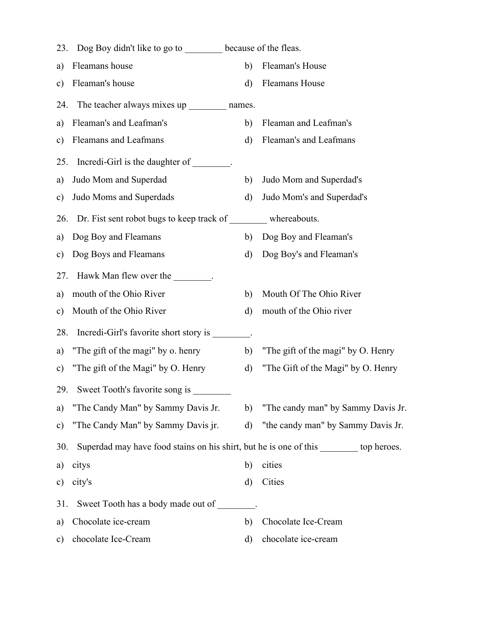| 23.           | Dog Boy didn't like to go to because of the fleas.                                     |              |                                    |
|---------------|----------------------------------------------------------------------------------------|--------------|------------------------------------|
| a)            | Fleamans house                                                                         | b)           | Fleaman's House                    |
| c)            | Fleaman's house                                                                        | d)           | <b>Fleamans House</b>              |
| 24.           | The teacher always mixes up __________ names.                                          |              |                                    |
| a)            | Fleaman's and Leafman's                                                                | b)           | Fleaman and Leafman's              |
| c)            | Fleamans and Leafmans                                                                  | d)           | Fleaman's and Leafmans             |
| 25.           | Incredi-Girl is the daughter of                                                        |              |                                    |
| a)            | Judo Mom and Superdad                                                                  | b)           | Judo Mom and Superdad's            |
| c)            | Judo Moms and Superdads                                                                | d)           | Judo Mom's and Superdad's          |
| 26.           | Dr. Fist sent robot bugs to keep track of _________ whereabouts.                       |              |                                    |
| a)            | Dog Boy and Fleamans                                                                   | b)           | Dog Boy and Fleaman's              |
| c)            | Dog Boys and Fleamans                                                                  | d)           | Dog Boy's and Fleaman's            |
| 27.           | Hawk Man flew over the                                                                 |              |                                    |
| a)            | mouth of the Ohio River                                                                | b)           | Mouth Of The Ohio River            |
| c)            | Mouth of the Ohio River                                                                | d)           | mouth of the Ohio river            |
| 28.           | Incredi-Girl's favorite short story is                                                 |              |                                    |
| a)            | "The gift of the magi" by o. henry                                                     | b)           | "The gift of the magi" by O. Henry |
| c)            | "The gift of the Magi" by O. Henry                                                     | d)           | "The Gift of the Magi" by O. Henry |
| 29.           | Sweet Tooth's favorite song is                                                         |              |                                    |
| a)            | "The Candy Man" by Sammy Davis Jr.                                                     | b)           | "The candy man" by Sammy Davis Jr. |
| $\mathbf{c})$ | "The Candy Man" by Sammy Davis jr.                                                     | $\mathbf{d}$ | "the candy man" by Sammy Davis Jr. |
| 30.           | Superdad may have food stains on his shirt, but he is one of this ________ top heroes. |              |                                    |
| a)            | citys                                                                                  | b)           | cities                             |
| c)            | city's                                                                                 | d)           | Cities                             |
| 31.           | Sweet Tooth has a body made out of                                                     |              |                                    |
| a)            | Chocolate ice-cream                                                                    | b)           | Chocolate Ice-Cream                |
| c)            | chocolate Ice-Cream                                                                    | d)           | chocolate ice-cream                |